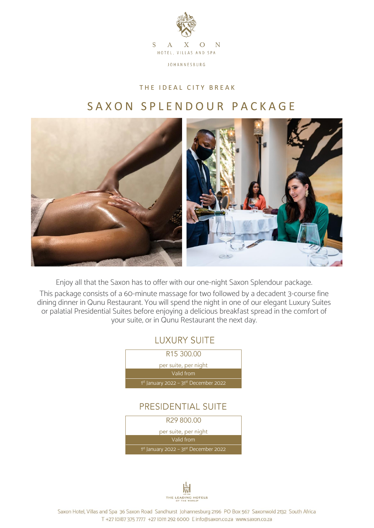

THE IDEAL CITY BREAK

## SAXON SPLENDOUR PACKAGE



Enjoy all that the Saxon has to offer with our one-night Saxon Splendour package.

This package consists of a 60-minute massage for two followed by a decadent 3-course fine dining dinner in Qunu Restaurant. You will spend the night in one of our elegant Luxury Suites or palatial Presidential Suites before enjoying a delicious breakfast spread in the comfort of your suite, or in Qunu Restaurant the next day.





Saxon Hotel, Villas and Spa 36 Saxon Road Sandhurst Johannesburg 2196 PO Box 567 Saxonwold 2132 South Africa T +27 (0)87 375 7777 +27 (0)11 292 6000 E info@saxon.co.za www.saxon.co.za